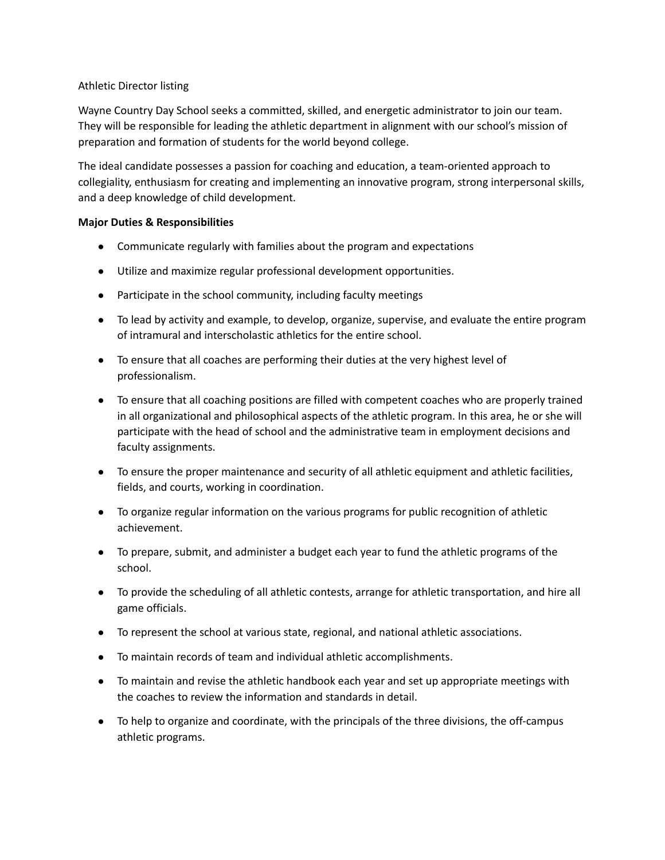## Athletic Director listing

Wayne Country Day School seeks a committed, skilled, and energetic administrator to join our team. They will be responsible for leading the athletic department in alignment with our school's mission of preparation and formation of students for the world beyond college.

The ideal candidate possesses a passion for coaching and education, a team-oriented approach to collegiality, enthusiasm for creating and implementing an innovative program, strong interpersonal skills, and a deep knowledge of child development.

## **Major Duties & Responsibilities**

- Communicate regularly with families about the program and expectations
- Utilize and maximize regular professional development opportunities.
- Participate in the school community, including faculty meetings
- To lead by activity and example, to develop, organize, supervise, and evaluate the entire program of intramural and interscholastic athletics for the entire school.
- To ensure that all coaches are performing their duties at the very highest level of professionalism.
- To ensure that all coaching positions are filled with competent coaches who are properly trained in all organizational and philosophical aspects of the athletic program. In this area, he or she will participate with the head of school and the administrative team in employment decisions and faculty assignments.
- To ensure the proper maintenance and security of all athletic equipment and athletic facilities, fields, and courts, working in coordination.
- To organize regular information on the various programs for public recognition of athletic achievement.
- To prepare, submit, and administer a budget each year to fund the athletic programs of the school.
- To provide the scheduling of all athletic contests, arrange for athletic transportation, and hire all game officials.
- To represent the school at various state, regional, and national athletic associations.
- To maintain records of team and individual athletic accomplishments.
- To maintain and revise the athletic handbook each year and set up appropriate meetings with the coaches to review the information and standards in detail.
- To help to organize and coordinate, with the principals of the three divisions, the off-campus athletic programs.